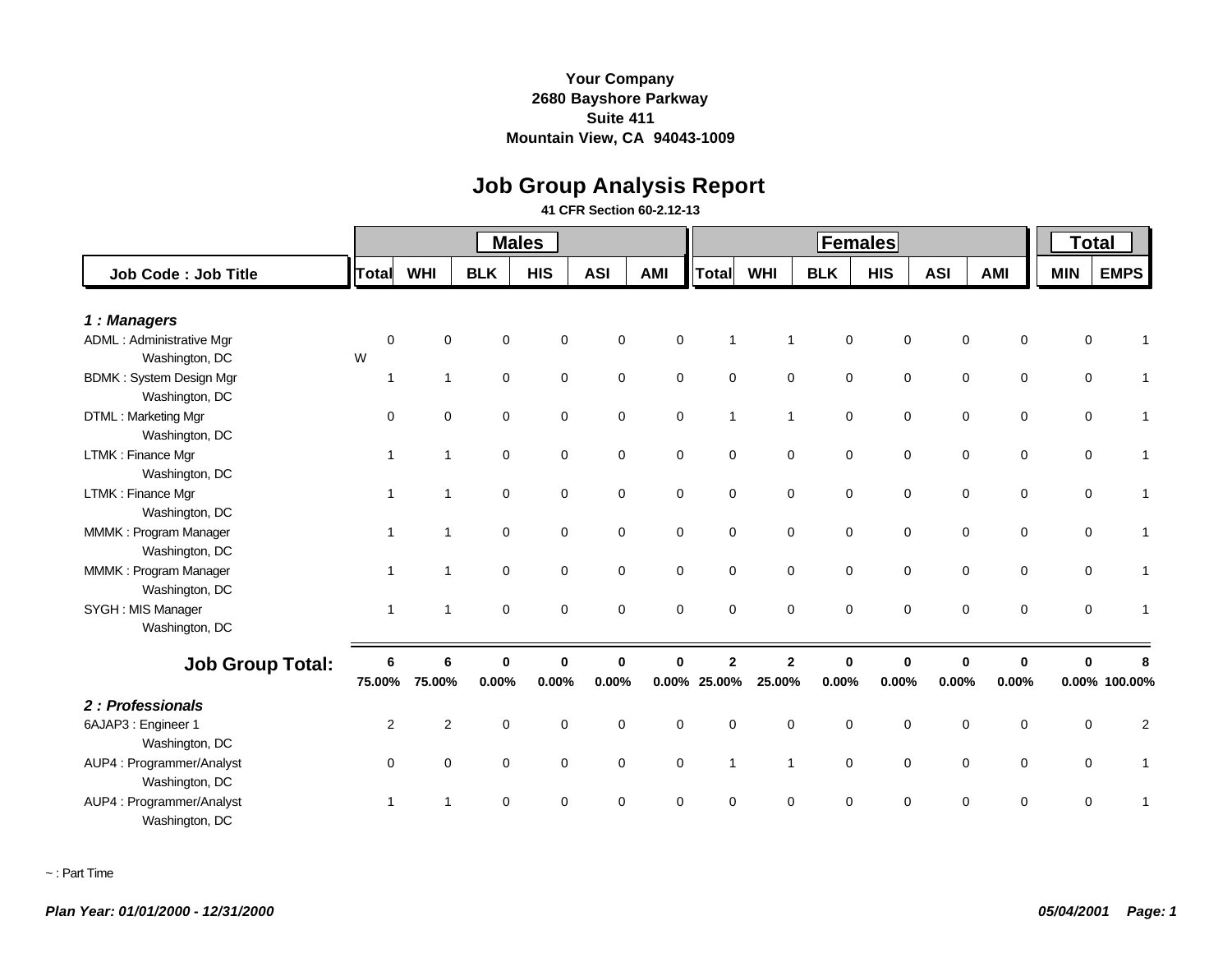# **Job Group Analysis Report**

**41 CFR Section 60-2.12-13**

|                                                  |              |                |             | <b>Males</b> |              |             |              | <b>Total</b>   |             |             |             |             |             |                |
|--------------------------------------------------|--------------|----------------|-------------|--------------|--------------|-------------|--------------|----------------|-------------|-------------|-------------|-------------|-------------|----------------|
| Job Code: Job Title                              | Total        | <b>WHI</b>     | <b>BLK</b>  | <b>HIS</b>   | <b>ASI</b>   | <b>AMI</b>  | <b>Total</b> | <b>WHI</b>     | <b>BLK</b>  | <b>HIS</b>  | <b>ASI</b>  | <b>AMI</b>  | <b>MIN</b>  | <b>EMPS</b>    |
| 1: Managers                                      |              |                |             |              |              |             |              |                |             |             |             |             |             |                |
| <b>ADML: Administrative Mgr</b>                  | $\mathbf 0$  | $\mathbf 0$    | $\mathbf 0$ | $\mathbf 0$  | $\mathbf 0$  | $\mathbf 0$ | 1            | 1              | $\mathbf 0$ | 0           | $\mathbf 0$ | $\mathbf 0$ | 0           |                |
| Washington, DC                                   | W            |                |             |              |              |             |              |                |             |             |             |             |             |                |
| <b>BDMK: System Design Mgr</b><br>Washington, DC | $\mathbf 1$  | $\mathbf{1}$   | $\mathbf 0$ | $\mathbf 0$  | $\mathbf 0$  | $\mathbf 0$ | $\mathbf 0$  | $\mathbf 0$    | $\mathbf 0$ | 0           | $\mathbf 0$ | $\mathbf 0$ | $\mathbf 0$ |                |
| DTML: Marketing Mgr<br>Washington, DC            | $\Omega$     | $\Omega$       | $\mathbf 0$ | $\mathbf 0$  | $\mathbf 0$  | $\mathbf 0$ | $\mathbf{1}$ | $\overline{1}$ | $\mathbf 0$ | $\mathbf 0$ | $\mathbf 0$ | $\mathbf 0$ | $\mathbf 0$ |                |
| LTMK: Finance Mgr<br>Washington, DC              | -1           | $\overline{1}$ | $\mathbf 0$ | $\mathbf 0$  | $\mathbf 0$  | $\mathbf 0$ | $\mathbf 0$  | $\mathbf 0$    | 0           | $\mathbf 0$ | 0           | 0           | $\mathbf 0$ |                |
| LTMK: Finance Mgr<br>Washington, DC              | $\mathbf 1$  | $\mathbf{1}$   | $\mathbf 0$ | $\mathbf 0$  | $\mathbf 0$  | $\mathbf 0$ | $\mathbf 0$  | $\mathbf 0$    | 0           | $\mathbf 0$ | 0           | 0           | $\mathbf 0$ |                |
| MMMK: Program Manager<br>Washington, DC          | $\mathbf 1$  | $\mathbf{1}$   | $\mathbf 0$ | $\mathbf 0$  | $\mathbf 0$  | $\mathbf 0$ | $\mathbf 0$  | $\mathbf 0$    | 0           | $\mathbf 0$ | $\mathbf 0$ | $\mathbf 0$ | $\mathbf 0$ |                |
| MMMK: Program Manager<br>Washington, DC          | $\mathbf 1$  | $\mathbf{1}$   | $\mathbf 0$ | $\mathbf 0$  | $\mathbf 0$  | $\mathbf 0$ | $\mathbf 0$  | $\mathbf 0$    | 0           | $\mathbf 0$ | $\mathbf 0$ | $\mathbf 0$ | $\mathbf 0$ |                |
| SYGH : MIS Manager<br>Washington, DC             | $\mathbf{1}$ | $\overline{1}$ | $\mathbf 0$ | $\Omega$     | $\Omega$     | $\mathbf 0$ | $\mathbf 0$  | $\mathbf 0$    | 0           | $\mathbf 0$ | $\mathbf 0$ | $\mathbf 0$ | $\mathbf 0$ |                |
| <b>Job Group Total:</b>                          | 6            | 6              | $\mathbf 0$ | $\bf{0}$     | $\mathbf{0}$ | $\bf{0}$    | $\mathbf{2}$ | $\overline{2}$ | 0           | $\mathbf 0$ | $\mathbf 0$ | $\mathbf 0$ | $\bf{0}$    |                |
|                                                  | 75.00%       | 75.00%         | 0.00%       | 0.00%        | 0.00%        |             | 0.00% 25.00% | 25.00%         | 0.00%       | 0.00%       | 0.00%       | 0.00%       |             | 0.00% 100.00%  |
| 2: Professionals                                 |              |                |             |              |              |             |              |                |             |             |             |             |             |                |
| 6AJAP3 : Engineer 1                              | 2            | 2              | $\mathbf 0$ | $\mathbf 0$  | $\mathbf 0$  | $\mathbf 0$ | $\mathbf 0$  | $\mathbf 0$    | $\mathbf 0$ | $\mathbf 0$ | $\mathbf 0$ | $\mathbf 0$ | $\mathbf 0$ | $\overline{2}$ |
| Washington, DC                                   |              |                |             |              |              |             |              |                |             |             |             |             |             |                |
| AUP4: Programmer/Analyst<br>Washington, DC       | $\mathbf 0$  | 0              | 0           | 0            | $\mathbf 0$  | 0           | $\mathbf{1}$ | $\overline{1}$ | 0           | 0           | $\mathbf 0$ | 0           | $\mathbf 0$ | 1              |
| AUP4 : Programmer/Analyst<br>Washington, DC      | -1           | 1              | $\mathbf 0$ | $\Omega$     | $\Omega$     | $\Omega$    | $\Omega$     | $\Omega$       | 0           | $\Omega$    | $\mathbf 0$ | 0           | 0           |                |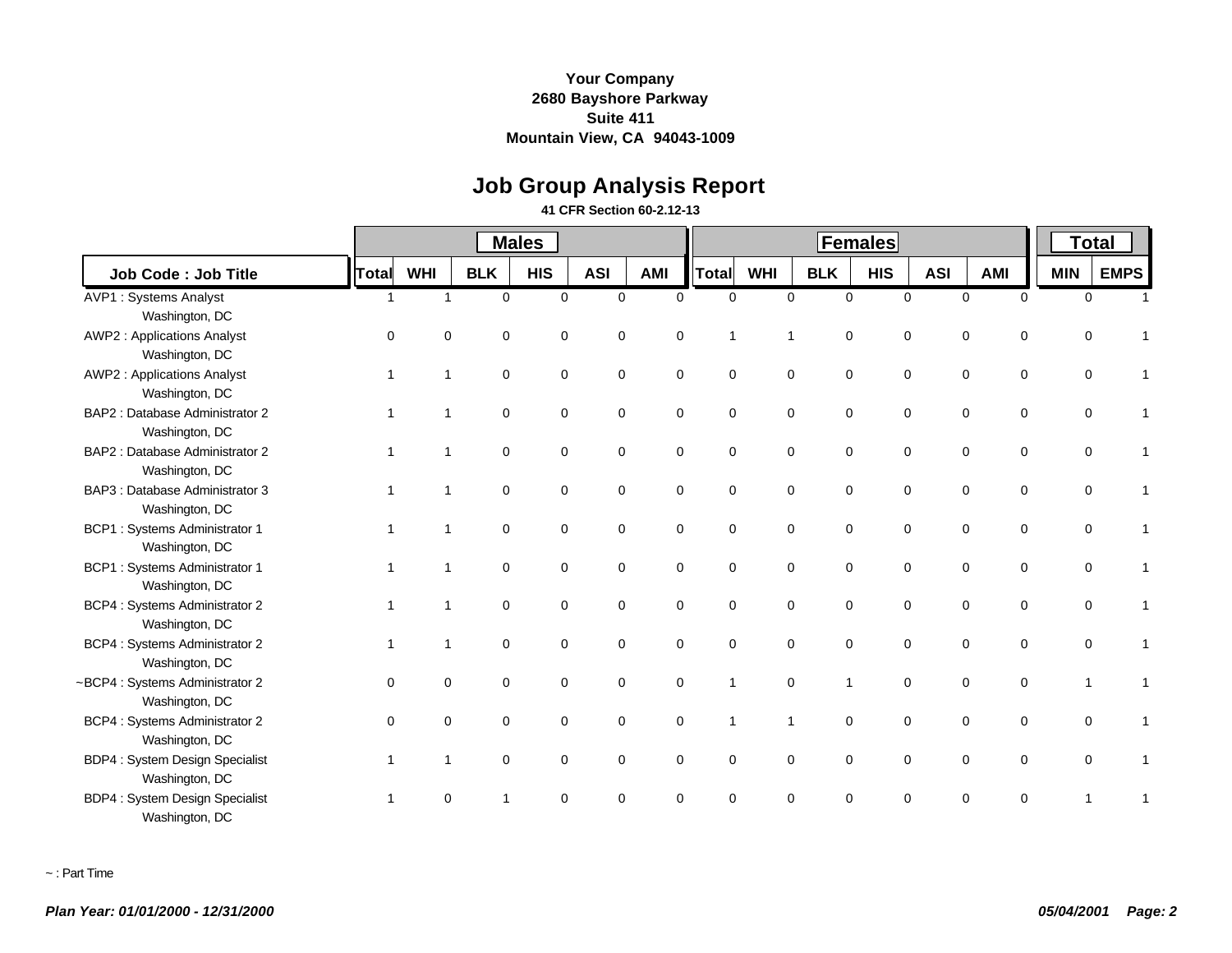# **Job Group Analysis Report**

#### **41 CFR Section 60-2.12-13**

|                                       |              |            |             | <b>Males</b> |             |             |                |                | <b>Total</b>   |             |            |                            |             |             |
|---------------------------------------|--------------|------------|-------------|--------------|-------------|-------------|----------------|----------------|----------------|-------------|------------|----------------------------|-------------|-------------|
| Job Code: Job Title                   | <b>Total</b> | <b>WHI</b> | <b>BLK</b>  | <b>HIS</b>   | <b>ASI</b>  | AMI         | Total          | <b>WHI</b>     | <b>BLK</b>     | <b>HIS</b>  | <b>ASI</b> | <b>AMI</b>                 | <b>MIN</b>  | <b>EMPS</b> |
| <b>AVP1: Systems Analyst</b>          | -1           | 1          | $\mathbf 0$ | $\Omega$     | $\mathbf 0$ | $\Omega$    | $\Omega$       | $\mathbf 0$    | $\Omega$       | $\Omega$    |            | 0<br>$\mathbf 0$           | $\mathbf 0$ |             |
| Washington, DC                        |              |            |             |              |             |             |                |                |                |             |            |                            |             |             |
| <b>AWP2: Applications Analyst</b>     | $\Omega$     | $\Omega$   | $\Omega$    | $\mathbf 0$  | 0           | $\Omega$    | -1             | 1              | $\Omega$       | 0           |            | 0<br>$\mathbf 0$           | $\Omega$    |             |
| Washington, DC                        |              |            |             |              |             |             |                |                |                |             |            |                            |             |             |
| <b>AWP2: Applications Analyst</b>     | -1           | 1          | $\mathbf 0$ | $\mathbf 0$  | $\mathbf 0$ | $\mathbf 0$ | $\mathbf 0$    | $\mathbf 0$    | $\mathbf 0$    | $\mathbf 0$ |            | $\mathbf 0$<br>0           | $\mathbf 0$ |             |
| Washington, DC                        |              |            |             |              |             |             |                |                |                |             |            |                            |             |             |
| BAP2 : Database Administrator 2       |              | 1          | $\mathbf 0$ | $\mathbf 0$  | 0           | 0           | $\mathbf 0$    | $\mathbf 0$    | $\mathbf 0$    | 0           |            | 0<br>0                     | 0           |             |
| Washington, DC                        |              |            |             |              |             |             |                |                |                |             |            |                            |             |             |
| BAP2 : Database Administrator 2       |              |            | $\mathbf 0$ | 0            | 0           | 0           | $\mathbf 0$    | $\mathbf 0$    | $\mathbf 0$    | 0           |            | 0<br>0                     | $\Omega$    |             |
| Washington, DC                        |              |            |             |              |             |             |                |                |                |             |            |                            |             |             |
| BAP3 : Database Administrator 3       |              |            | $\mathbf 0$ | $\mathbf 0$  | $\mathbf 0$ | $\mathbf 0$ | $\mathbf 0$    | $\mathbf 0$    | $\Omega$       | $\mathbf 0$ |            | 0<br>$\mathbf 0$           | $\Omega$    |             |
| Washington, DC                        |              |            |             |              |             |             |                |                |                |             |            |                            |             |             |
| <b>BCP1:</b> Systems Administrator 1  |              |            | $\mathbf 0$ | $\mathbf 0$  | $\mathbf 0$ | 0           | $\mathbf 0$    | $\mathbf 0$    | $\mathbf 0$    | 0           |            | $\mathbf 0$<br>$\mathbf 0$ | $\Omega$    |             |
| Washington, DC                        |              |            |             |              |             |             |                |                |                |             |            |                            |             |             |
| <b>BCP1:</b> Systems Administrator 1  |              | 1          | 0           | 0            | 0           | 0           | $\mathbf 0$    | $\mathbf 0$    | $\mathbf 0$    | 0           |            | 0<br>0                     | 0           |             |
| Washington, DC                        |              |            |             |              |             |             |                |                |                |             |            |                            |             |             |
| BCP4 : Systems Administrator 2        |              | 1          | $\Omega$    | $\mathbf 0$  | $\mathbf 0$ | 0           | $\Omega$       | $\mathbf 0$    | $\Omega$       | $\mathbf 0$ |            | 0<br>$\mathbf 0$           | 0           |             |
| Washington, DC                        |              |            |             |              |             |             |                |                |                |             |            |                            |             |             |
| BCP4 : Systems Administrator 2        |              |            | $\mathbf 0$ | $\mathbf 0$  | 0           | 0           | $\mathbf 0$    | $\mathbf 0$    | $\mathbf 0$    | $\mathbf 0$ |            | $\mathbf 0$<br>0           | 0           |             |
| Washington, DC                        |              |            |             |              |             |             |                |                |                |             |            |                            |             |             |
| ~BCP4 : Systems Administrator 2       | $\Omega$     | 0          | $\mathbf 0$ | $\mathbf 0$  | $\mathbf 0$ | $\mathbf 0$ | $\overline{1}$ | $\mathbf 0$    | $\overline{1}$ | $\mathbf 0$ |            | $\mathbf 0$<br>$\mathbf 0$ |             |             |
| Washington, DC                        |              |            |             |              |             |             |                |                |                |             |            |                            |             |             |
| <b>BCP4: Systems Administrator 2</b>  | $\Omega$     | $\Omega$   | $\mathbf 0$ | 0            | 0           | 0           | $\mathbf{1}$   | $\overline{1}$ | $\Omega$       | 0           |            | 0<br>0                     | $\Omega$    |             |
| Washington, DC                        |              |            |             |              |             |             |                |                |                |             |            |                            |             |             |
| <b>BDP4: System Design Specialist</b> |              | 1          | $\mathbf 0$ | 0            | 0           | 0           | $\mathbf 0$    | $\mathbf 0$    | $\mathbf 0$    | 0           |            | $\mathbf 0$<br>$\mathbf 0$ | $\Omega$    |             |
| Washington, DC                        |              |            |             |              |             |             |                |                |                |             |            |                            |             |             |
| <b>BDP4: System Design Specialist</b> |              | 0          |             | $\Omega$     | $\Omega$    | $\Omega$    | $\Omega$       | $\Omega$       | $\Omega$       | $\Omega$    |            | $\Omega$<br>$\Omega$       |             |             |
| Washington, DC                        |              |            |             |              |             |             |                |                |                |             |            |                            |             |             |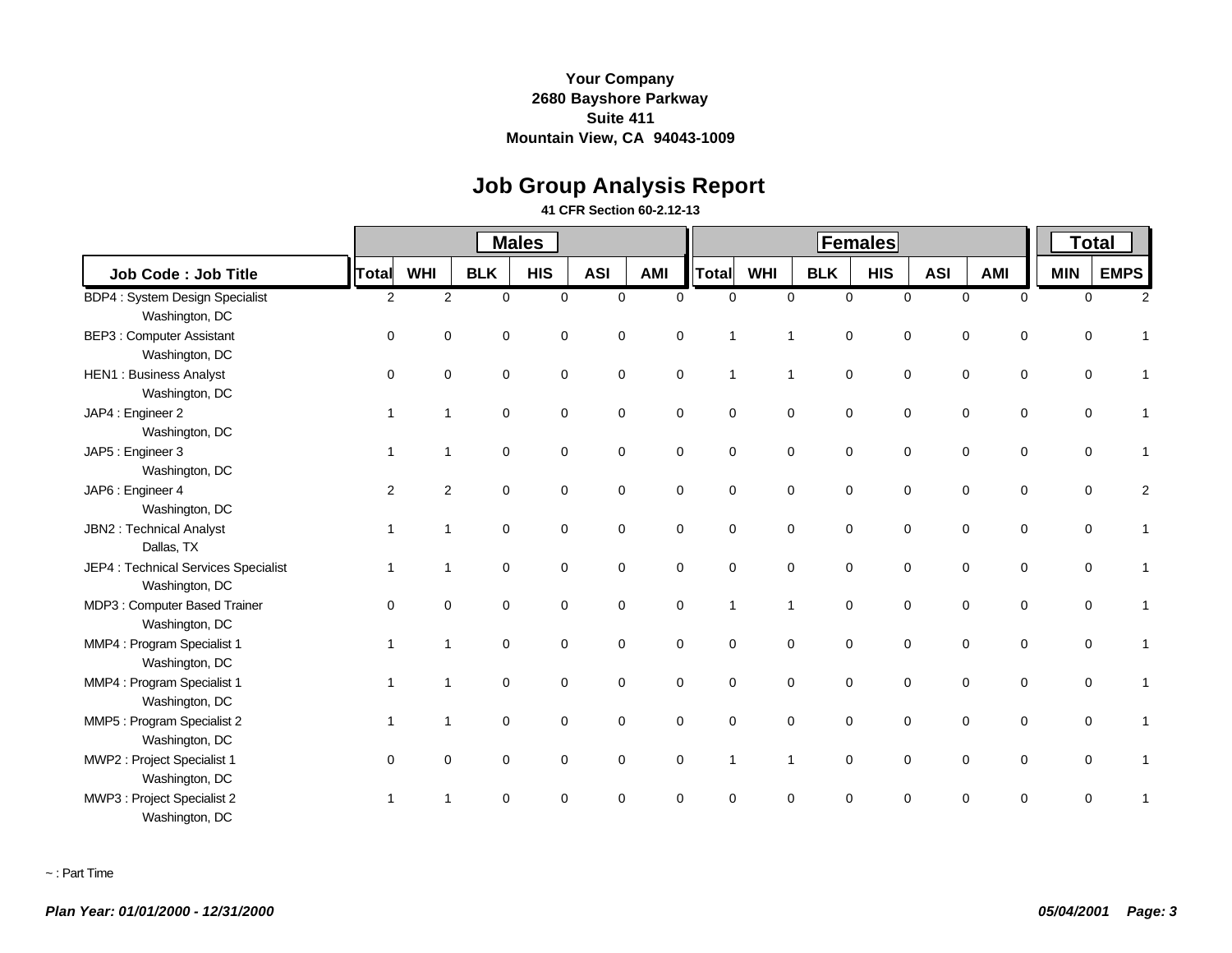# **Job Group Analysis Report**

#### **41 CFR Section 60-2.12-13**

|                                                        |                         |                |             | <b>Males</b> |             |             |              |            |                             | <b>Total</b> |             |                            |             |             |
|--------------------------------------------------------|-------------------------|----------------|-------------|--------------|-------------|-------------|--------------|------------|-----------------------------|--------------|-------------|----------------------------|-------------|-------------|
| Job Code: Job Title                                    | <b>Total</b>            | <b>WHI</b>     | <b>BLK</b>  | <b>HIS</b>   | <b>ASI</b>  | <b>AMI</b>  | <b>Total</b> | <b>WHI</b> | <b>BLK</b>                  | <b>HIS</b>   | <b>ASI</b>  | <b>AMI</b>                 | <b>MIN</b>  | <b>EMPS</b> |
| <b>BDP4: System Design Specialist</b>                  | 2                       | 2              | $\mathbf 0$ | $\mathbf 0$  | $\mathbf 0$ | $\Omega$    | $\mathbf 0$  |            | $\mathbf 0$<br>$\mathbf 0$  | $\mathbf 0$  |             | $\mathbf 0$<br>$\mathbf 0$ | $\mathbf 0$ | 2           |
| Washington, DC                                         |                         |                |             |              |             |             |              |            |                             |              |             |                            |             |             |
| <b>BEP3: Computer Assistant</b><br>Washington, DC      | $\Omega$                | $\Omega$       | 0           | 0            | $\mathbf 0$ | $\mathbf 0$ | $\mathbf{1}$ | 1          | $\mathbf 0$                 | $\mathbf 0$  | $\mathbf 0$ | 0                          | 0           |             |
| <b>HEN1: Business Analyst</b><br>Washington, DC        | $\mathbf 0$             | $\mathbf 0$    | 0           | $\mathbf 0$  | $\mathbf 0$ | $\mathbf 0$ | $\mathbf{1}$ |            | $\mathbf 0$<br>$\mathbf{1}$ | $\pmb{0}$    |             | $\mathbf 0$<br>$\mathbf 0$ | 0           |             |
| JAP4 : Engineer 2<br>Washington, DC                    | $\mathbf 1$             | $\overline{1}$ | 0           | $\mathbf 0$  | $\mathbf 0$ | 0           | 0            |            | $\mathbf 0$<br>$\mathbf 0$  | $\mathbf 0$  |             | $\mathbf 0$<br>0           | 0           |             |
| JAP5 : Engineer 3<br>Washington, DC                    | $\overline{\mathbf{1}}$ | $\overline{1}$ | 0           | $\mathbf 0$  | 0           | 0           | 0            |            | $\mathbf 0$<br>$\mathbf 0$  | $\mathbf 0$  |             | 0<br>$\mathbf 0$           | 0           |             |
| JAP6 : Engineer 4<br>Washington, DC                    | 2                       | 2              | $\mathbf 0$ | $\Omega$     | $\mathbf 0$ | $\mathbf 0$ | 0            |            | $\mathbf 0$<br>$\mathbf 0$  | $\mathbf 0$  |             | $\mathbf 0$<br>$\mathbf 0$ | 0           | 2           |
| JBN2 : Technical Analyst<br>Dallas, TX                 | $\mathbf{1}$            | $\overline{1}$ | $\mathbf 0$ | $\mathbf 0$  | $\mathbf 0$ | $\mathbf 0$ | 0            |            | $\mathbf 0$<br>$\mathbf 0$  | $\mathbf 0$  | $\mathbf 0$ | $\mathbf 0$                | 0           |             |
| JEP4 : Technical Services Specialist<br>Washington, DC | $\overline{1}$          | $\overline{1}$ | 0           | $\mathbf 0$  | 0           | 0           | $\mathbf 0$  |            | $\mathbf 0$<br>$\mathbf 0$  | $\mathbf 0$  |             | $\mathbf 0$<br>$\mathbf 0$ | 0           |             |
| MDP3: Computer Based Trainer<br>Washington, DC         | $\Omega$                | $\Omega$       | $\Omega$    | $\Omega$     | $\Omega$    | $\mathbf 0$ | $\mathbf{1}$ |            | $\mathbf 0$<br>$\mathbf{1}$ | $\mathbf 0$  |             | $\mathbf 0$<br>$\mathbf 0$ | 0           |             |
| MMP4 : Program Specialist 1<br>Washington, DC          | $\overline{1}$          | $\overline{1}$ | $\mathbf 0$ | $\mathbf 0$  | $\mathbf 0$ | 0           | 0            |            | $\mathbf 0$<br>$\mathbf 0$  | $\mathbf 0$  |             | $\mathbf 0$<br>$\mathbf 0$ | 0           |             |
| MMP4 : Program Specialist 1<br>Washington, DC          | 1                       | $\overline{1}$ | $\mathbf 0$ | $\mathbf 0$  | $\mathbf 0$ | $\mathbf 0$ | 0            |            | $\mathbf 0$<br>$\mathbf 0$  | $\mathbf 0$  |             | $\mathbf 0$<br>$\mathbf 0$ | 0           |             |
| MMP5 : Program Specialist 2<br>Washington, DC          | $\mathbf{1}$            | $\overline{1}$ | 0           | 0            | $\mathbf 0$ | 0           | 0            |            | $\mathbf 0$<br>$\mathbf 0$  | $\mathbf 0$  | $\mathbf 0$ | 0                          | 0           | 1           |
| MWP2 : Project Specialist 1<br>Washington, DC          | $\Omega$                | $\Omega$       | 0           | $\mathbf 0$  | $\mathbf 0$ | 0           | $\mathbf{1}$ |            | $\mathbf 0$<br>$\mathbf{1}$ | $\mathbf 0$  |             | 0<br>0                     | 0           |             |
| MWP3 : Project Specialist 2<br>Washington, DC          | -1                      | 1              | $\Omega$    | $\Omega$     | $\Omega$    | $\Omega$    | $\Omega$     |            | $\Omega$<br>$\Omega$        | $\Omega$     |             | $\Omega$<br>$\Omega$       | 0           |             |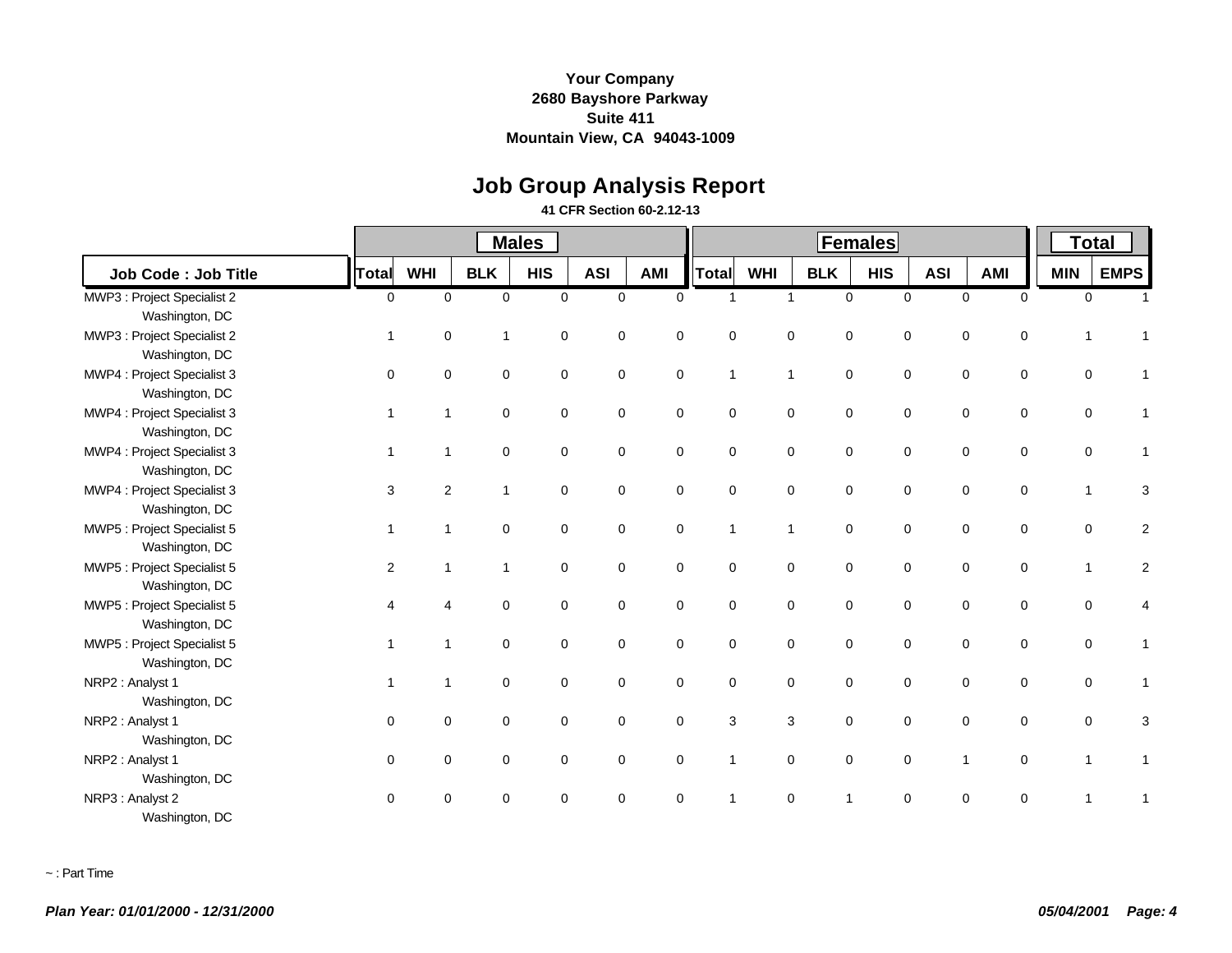# **Job Group Analysis Report**

#### **41 CFR Section 60-2.12-13**

|                             |              |                |              | <b>Males</b> |             |             |              |              |              | <b>Total</b> |            |             |             |             |             |
|-----------------------------|--------------|----------------|--------------|--------------|-------------|-------------|--------------|--------------|--------------|--------------|------------|-------------|-------------|-------------|-------------|
| <b>Job Code: Job Title</b>  | Total        | <b>WHI</b>     | <b>BLK</b>   | <b>HIS</b>   | <b>ASI</b>  | <b>AMI</b>  | Total        | <b>WHI</b>   | <b>BLK</b>   | <b>HIS</b>   | <b>ASI</b> | <b>AMI</b>  |             | <b>MIN</b>  | <b>EMPS</b> |
| MWP3 : Project Specialist 2 | $\mathbf 0$  | $\mathbf 0$    | $\mathbf 0$  | $\mathbf 0$  | $\mathbf 0$ | $\Omega$    | $\mathbf{1}$ | $\mathbf{1}$ | $\mathbf 0$  | $\mathbf 0$  |            | $\mathbf 0$ | $\mathbf 0$ | $\mathbf 0$ |             |
| Washington, DC              |              |                |              |              |             |             |              |              |              |              |            |             |             |             |             |
| MWP3 : Project Specialist 2 | 1            | $\mathbf 0$    | 1            | 0            | 0           | $\mathbf 0$ | $\mathbf 0$  | $\mathbf 0$  | $\mathbf 0$  | $\mathbf 0$  |            | 0           | 0           | 1           |             |
| Washington, DC              |              |                |              |              |             |             |              |              |              |              |            |             |             |             |             |
| MWP4 : Project Specialist 3 | $\mathbf 0$  | 0              | $\mathbf 0$  | $\mathbf 0$  | $\mathbf 0$ | $\mathbf 0$ | $\mathbf{1}$ | $\mathbf{1}$ | $\mathsf 0$  | $\mathbf 0$  |            | $\mathbf 0$ | 0           | 0           |             |
| Washington, DC              |              |                |              |              |             |             |              |              |              |              |            |             |             |             |             |
| MWP4 : Project Specialist 3 |              | 1              | $\mathbf 0$  | $\mathbf 0$  | $\mathbf 0$ | $\mathbf 0$ | $\mathbf 0$  | $\mathbf 0$  | $\mathbf 0$  | $\mathbf 0$  |            | $\mathbf 0$ | $\mathbf 0$ | $\mathbf 0$ |             |
| Washington, DC              |              |                |              |              |             |             |              |              |              |              |            |             |             |             |             |
| MWP4 : Project Specialist 3 |              | $\overline{1}$ | 0            | $\mathbf 0$  | 0           | 0           | $\mathbf 0$  | $\mathbf 0$  | $\mathbf 0$  | $\mathbf 0$  |            | 0           | 0           | 0           |             |
| Washington, DC              |              |                |              |              |             |             |              |              |              |              |            |             |             |             |             |
| MWP4 : Project Specialist 3 | 3            | $\overline{2}$ | 1            | $\mathbf 0$  | 0           | $\mathbf 0$ | $\mathbf 0$  | $\mathsf 0$  | $\mathbf 0$  | $\mathbf 0$  |            | 0           | 0           | 1           | 3           |
| Washington, DC              |              |                |              |              |             |             |              |              |              |              |            |             |             |             |             |
| MWP5 : Project Specialist 5 | $\mathbf{1}$ | 1              | $\mathbf 0$  | 0            | 0           | $\mathbf 0$ | $\mathbf{1}$ | $\mathbf{1}$ | $\mathbf 0$  | $\mathbf 0$  |            | 0           | 0           | 0           | 2           |
| Washington, DC              |              |                |              |              |             |             |              |              |              |              |            |             |             |             |             |
| MWP5 : Project Specialist 5 | 2            | 1              | $\mathbf{1}$ | $\mathbf 0$  | 0           | $\mathbf 0$ | $\mathbf 0$  | $\mathsf 0$  | $\mathsf 0$  | $\mathbf 0$  |            | $\mathbf 0$ | 0           | 1           | 2           |
| Washington, DC              |              |                |              |              |             |             |              |              |              |              |            |             |             |             |             |
| MWP5 : Project Specialist 5 | 4            | 4              | $\Omega$     | $\Omega$     | $\Omega$    | $\mathbf 0$ | $\Omega$     | $\mathbf 0$  | $\mathbf 0$  | $\mathbf 0$  |            | $\mathbf 0$ | $\mathbf 0$ | $\mathbf 0$ | 4           |
| Washington, DC              |              |                |              |              |             |             |              |              |              |              |            |             |             |             |             |
| MWP5 : Project Specialist 5 |              |                | $\mathbf 0$  | $\mathbf 0$  | $\mathbf 0$ | $\mathbf 0$ | $\mathbf 0$  | $\mathbf 0$  | $\mathbf 0$  | $\mathbf 0$  |            | $\mathbf 0$ | $\mathbf 0$ | $\mathbf 0$ |             |
| Washington, DC              |              |                |              |              |             |             |              |              |              |              |            |             |             |             |             |
| NRP2 : Analyst 1            |              |                | $\mathbf 0$  | $\mathbf 0$  | 0           | 0           | $\mathbf 0$  | $\mathsf 0$  | $\mathbf 0$  | $\mathbf 0$  |            | 0           | $\pmb{0}$   | 0           |             |
| Washington, DC              |              |                |              |              |             |             |              |              |              |              |            |             |             |             |             |
| NRP2 : Analyst 1            | $\Omega$     | 0              | 0            | 0            | 0           | $\mathbf 0$ | 3            | 3            | $\mathbf 0$  | $\mathbf 0$  |            | 0           | 0           | 0           |             |
| Washington, DC              |              |                |              |              |             |             |              |              |              |              |            |             |             |             |             |
| NRP2 : Analyst 1            | $\mathbf 0$  | 0              | 0            | 0            | 0           | $\mathbf 0$ | $\mathbf{1}$ | $\mathbf 0$  | $\mathbf 0$  | $\mathbf 0$  |            | 1           | $\mathbf 0$ | 1           |             |
| Washington, DC              |              |                |              |              |             |             |              |              |              |              |            |             |             |             |             |
| NRP3 : Analyst 2            | $\Omega$     | $\Omega$       | $\Omega$     | $\Omega$     | $\Omega$    | $\Omega$    | 1            | $\mathbf 0$  | $\mathbf{1}$ | $\Omega$     |            | $\Omega$    | $\Omega$    |             |             |
| Washington, DC              |              |                |              |              |             |             |              |              |              |              |            |             |             |             |             |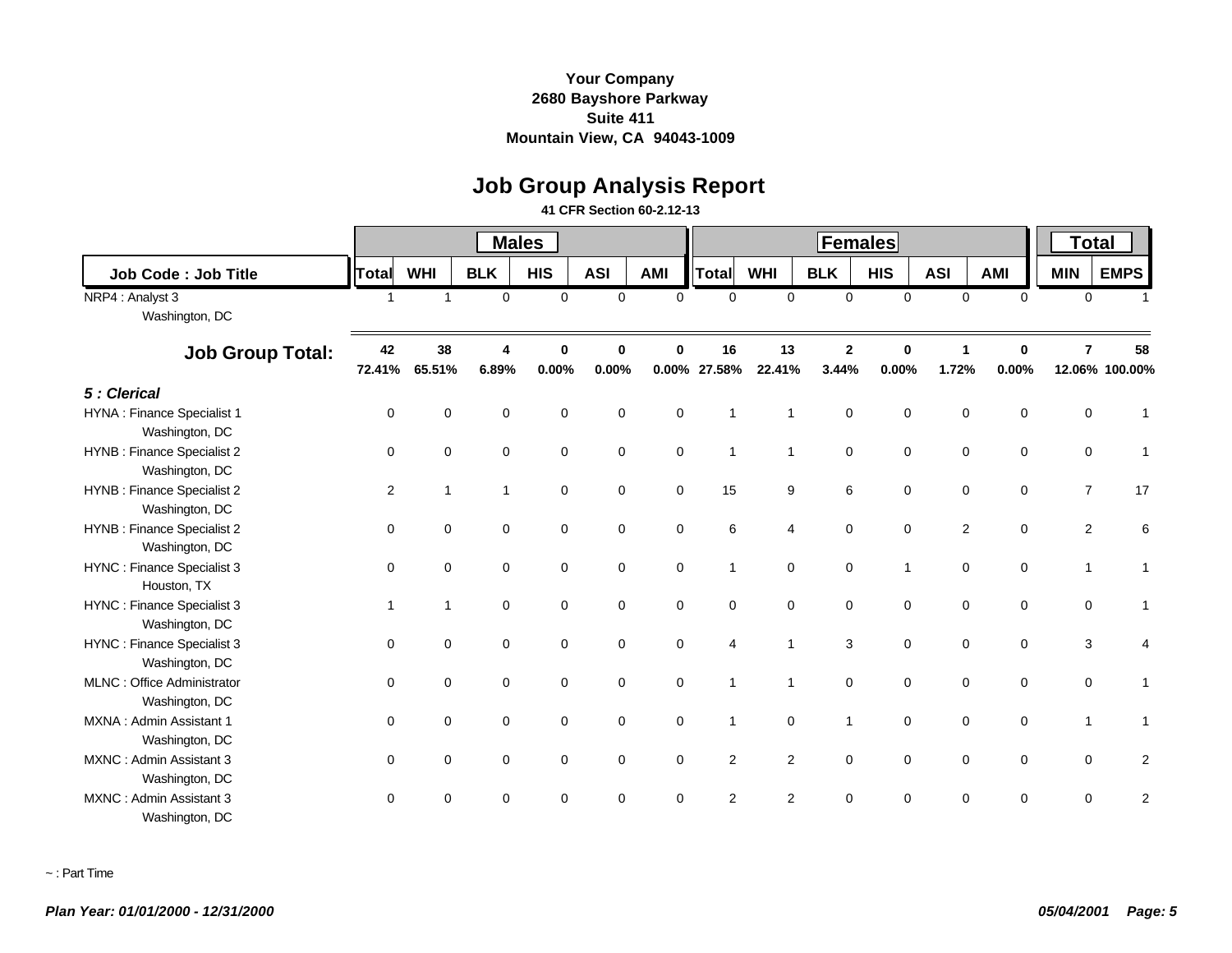# **Job Group Analysis Report**

#### **41 CFR Section 60-2.12-13**

|                                                     |                |                |                | <b>Males</b>         |              |                      |                |                | <b>Total</b>            |                      |            |                            |                |                      |
|-----------------------------------------------------|----------------|----------------|----------------|----------------------|--------------|----------------------|----------------|----------------|-------------------------|----------------------|------------|----------------------------|----------------|----------------------|
| <b>Job Code: Job Title</b>                          | <b>Total</b>   | <b>WHI</b>     | <b>BLK</b>     | <b>HIS</b>           | <b>ASI</b>   | <b>AMI</b>           | <b>Total</b>   | <b>WHI</b>     | <b>BLK</b>              | <b>HIS</b>           | <b>ASI</b> | <b>AMI</b>                 | <b>MIN</b>     | <b>EMPS</b>          |
| NRP4 : Analyst 3<br>Washington, DC                  | $\overline{1}$ | $\overline{1}$ | $\mathbf 0$    | $\mathbf 0$          | $\mathbf{0}$ | $\Omega$             | $\mathbf 0$    | $\mathbf 0$    | $\mathbf 0$             | $\mathbf 0$          |            | $\mathbf 0$<br>$\Omega$    | $\mathbf 0$    |                      |
| <b>Job Group Total:</b>                             | 42<br>72.41%   | 38<br>65.51%   | 4<br>6.89%     | $\bf{0}$<br>$0.00\%$ | 0<br>0.00%   | $\bf{0}$<br>$0.00\%$ | 16<br>27.58%   | 13<br>22.41%   | $\overline{2}$<br>3.44% | $\mathbf 0$<br>0.00% | 1<br>1.72% | $\mathbf 0$<br>0.00%       | $\overline{7}$ | 58<br>12.06% 100.00% |
| 5 : Clerical                                        |                |                |                |                      |              |                      |                |                |                         |                      |            |                            |                |                      |
| <b>HYNA: Finance Specialist 1</b><br>Washington, DC | $\Omega$       | $\mathbf 0$    | $\mathbf 0$    | 0                    | $\mathbf 0$  | $\mathbf 0$          | 1              | 1              | 0                       | $\mathbf 0$          |            | $\mathbf 0$<br>$\mathbf 0$ | 0              |                      |
| HYNB : Finance Specialist 2<br>Washington, DC       | 0              | $\mathbf 0$    | $\mathbf 0$    | $\mathbf 0$          | 0            | $\mathbf 0$          | $\mathbf{1}$   | $\mathbf{1}$   | $\pmb{0}$               | $\mathbf 0$          |            | $\mathbf 0$<br>$\mathbf 0$ | $\mathbf 0$    | 1                    |
| HYNB : Finance Specialist 2<br>Washington, DC       | 2              | $\overline{1}$ | $\overline{1}$ | $\mathbf 0$          | $\mathbf 0$  | $\mathbf 0$          | 15             | 9              | 6                       | $\mathbf 0$          |            | $\pmb{0}$<br>$\mathbf 0$   | $\overline{7}$ | 17                   |
| HYNB : Finance Specialist 2<br>Washington, DC       | $\mathbf 0$    | $\mathbf 0$    | $\mathbf 0$    | $\mathbf 0$          | $\mathbf 0$  | $\mathbf 0$          | 6              | 4              | 0                       | $\mathbf 0$          |            | 2<br>$\mathbf 0$           | 2              | 6                    |
| HYNC : Finance Specialist 3<br>Houston, TX          | $\mathbf 0$    | $\mathbf 0$    | $\mathbf 0$    | $\mathbf 0$          | 0            | 0                    | $\mathbf{1}$   | $\mathbf 0$    | $\mathbf 0$             | $\mathbf{1}$         |            | $\mathbf 0$<br>$\mathbf 0$ | $\mathbf{1}$   | 1                    |
| HYNC : Finance Specialist 3<br>Washington, DC       | -1             | $\overline{1}$ | $\Omega$       | $\Omega$             | $\Omega$     | $\Omega$             | $\Omega$       | $\Omega$       | 0                       | $\Omega$             |            | $\mathbf 0$<br>$\mathbf 0$ | $\mathbf 0$    | 1                    |
| HYNC : Finance Specialist 3<br>Washington, DC       | $\Omega$       | $\mathbf 0$    | $\mathbf 0$    | $\mathbf 0$          | $\mathbf 0$  | $\mathbf 0$          | $\overline{4}$ | $\overline{1}$ | 3                       | $\mathbf 0$          |            | $\mathbf 0$<br>$\mathbf 0$ | 3              |                      |
| MLNC: Office Administrator<br>Washington, DC        | $\Omega$       | $\mathbf 0$    | $\mathbf 0$    | $\mathbf 0$          | $\mathbf 0$  | $\mathbf 0$          | $\mathbf{1}$   | 1              | 0                       | $\mathbf 0$          |            | $\mathbf 0$<br>$\mathbf 0$ | $\mathbf 0$    | 1                    |
| MXNA: Admin Assistant 1<br>Washington, DC           | $\Omega$       | $\mathbf 0$    | $\mathbf 0$    | 0                    | $\mathbf 0$  | $\mathbf 0$          | $\mathbf{1}$   | $\mathbf 0$    | $\mathbf{1}$            | $\mathbf 0$          |            | $\mathbf 0$<br>0           | $\mathbf{1}$   | 1                    |
| MXNC: Admin Assistant 3<br>Washington, DC           | $\mathbf 0$    | $\mathbf 0$    | $\mathbf 0$    | 0                    | $\mathbf 0$  | $\mathbf 0$          | 2              | 2              | 0                       | $\mathbf 0$          |            | $\mathbf 0$<br>$\mathbf 0$ | $\mathbf 0$    | 2                    |
| MXNC: Admin Assistant 3<br>Washington, DC           | $\Omega$       | $\Omega$       | $\Omega$       | $\Omega$             | $\Omega$     | $\Omega$             | 2              | $\overline{2}$ | $\Omega$                | $\Omega$             |            | $\Omega$<br>$\mathbf 0$    | $\mathbf 0$    | $\overline{c}$       |